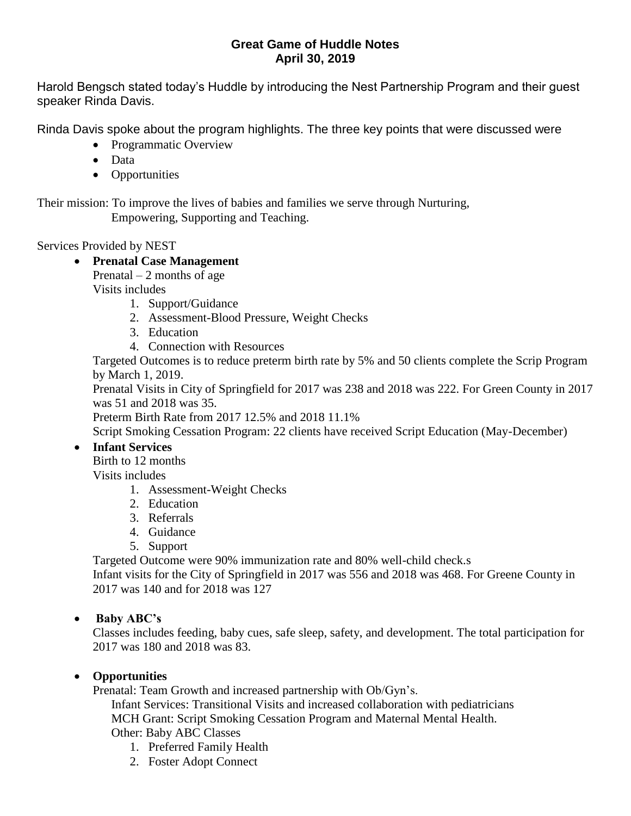## **Great Game of Huddle Notes April 30, 2019**

Harold Bengsch stated today's Huddle by introducing the Nest Partnership Program and their guest speaker Rinda Davis.

Rinda Davis spoke about the program highlights. The three key points that were discussed were

- Programmatic Overview
- Data
- Opportunities

Their mission: To improve the lives of babies and families we serve through Nurturing, Empowering, Supporting and Teaching.

Services Provided by NEST

# **Prenatal Case Management**

Prenatal  $-2$  months of age

Visits includes

- 1. Support/Guidance
- 2. Assessment-Blood Pressure, Weight Checks
- 3. Education
- 4. Connection with Resources

Targeted Outcomes is to reduce preterm birth rate by 5% and 50 clients complete the Scrip Program by March 1, 2019.

Prenatal Visits in City of Springfield for 2017 was 238 and 2018 was 222. For Green County in 2017 was 51 and 2018 was 35.

Preterm Birth Rate from 2017 12.5% and 2018 11.1%

Script Smoking Cessation Program: 22 clients have received Script Education (May-December)

## **Infant Services**

Birth to 12 months Visits includes

- 1. Assessment-Weight Checks
- 2. Education
- 3. Referrals
- 4. Guidance
- 5. Support

Targeted Outcome were 90% immunization rate and 80% well-child check.s

Infant visits for the City of Springfield in 2017 was 556 and 2018 was 468. For Greene County in 2017 was 140 and for 2018 was 127

## **Baby ABC's**

Classes includes feeding, baby cues, safe sleep, safety, and development. The total participation for 2017 was 180 and 2018 was 83.

## **Opportunities**

Prenatal: Team Growth and increased partnership with Ob/Gyn's.

Infant Services: Transitional Visits and increased collaboration with pediatricians MCH Grant: Script Smoking Cessation Program and Maternal Mental Health. Other: Baby ABC Classes

- 1. Preferred Family Health
- 2. Foster Adopt Connect